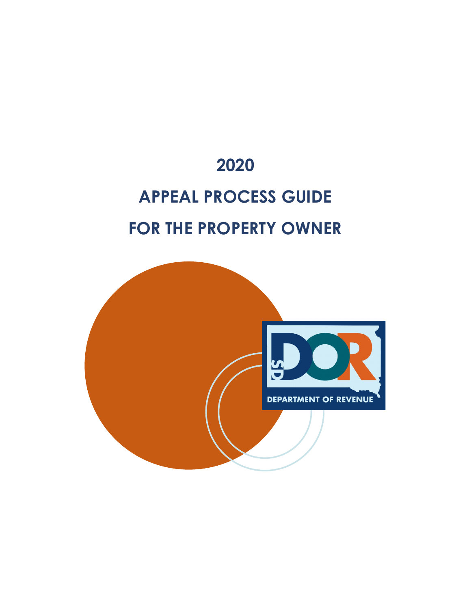# **2020**

# **APPEAL PROCESS GUIDE FOR THE PROPERTY OWNER**

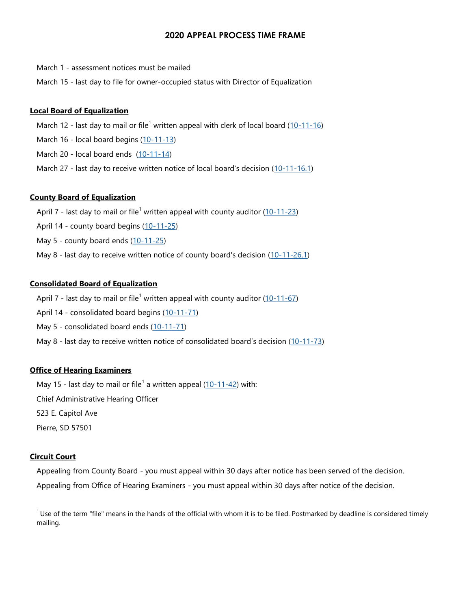#### **2020 APPEAL PROCESS TIME FRAME**

- March 1 assessment notices must be mailed
- March 15 last day to file for owner-occupied status with Director of Equalization

#### **Local Board of Equalization**

- March 12 last day to mail or file<sup>1</sup> written appeal with clerk of local board (10-11-[16\)](http://sdlegislature.gov/statutes/Codified_laws/DisplayStatute.aspx?Statute=10-11-16&Type=Statute)
- March 16 local board begins (10-11-[13\)](http://sdlegislature.gov/statutes/Codified_laws/DisplayStatute.aspx?Statute=10-11-13&Type=Statute)
- March 20 local board ends (10-11-[14\)](http://sdlegislature.gov/statutes/Codified_laws/DisplayStatute.aspx?Statute=10-11-14&Type=Statute)
- March 27 last day to receive written notice of local board's decision (10-11-[16.1\)](http://sdlegislature.gov/statutes/Codified_laws/DisplayStatute.aspx?Statute=10-11-16.1&Type=Statute)

#### **County Board of Equalization**

- April 7 last day to mail or file<sup>1</sup> written appeal with county auditor  $(10-11-23)$  $(10-11-23)$ April 14 - county board begins (10-11-[25\)](http://sdlegislature.gov/statutes/Codified_laws/DisplayStatute.aspx?Statute=10-11-25&Type=Statute)
- May 5 county board ends  $(10-11-25)$  $(10-11-25)$
- May 8 last day to receive written notice of county board's decision (10-11-[26.1\)](http://sdlegislature.gov/statutes/Codified_laws/DisplayStatute.aspx?Statute=10-11-26.1&Type=Statute)

#### **Consolidated Board of Equalization**

- April 7 last day to mail or file<sup>1</sup> written appeal with county auditor  $(10-11-67)$  $(10-11-67)$
- April 14 consolidated board begins (10-11-[71\)](http://sdlegislature.gov/statutes/Codified_laws/DisplayStatute.aspx?Statute=10-11-71&Type=Statute)
- May 5 consolidated board ends (10-11-[71\)](http://sdlegislature.gov/statutes/Codified_laws/DisplayStatute.aspx?Statute=10-11-71&Type=Statute)
- May 8 last day to receive written notice of consolidated board's decision (10-11-[73\)](http://sdlegislature.gov/statutes/Codified_laws/DisplayStatute.aspx?Statute=10-11-73&Type=Statute)

#### **Office of Hearing Examiners**

May 15 - last day to mail or file<sup>1</sup> a written appeal  $(10-11-42)$  with:

Chief Administrative Hearing Officer

523 E. Capitol Ave

Pierre, SD 57501

#### **Circuit Court**

Appealing from County Board - you must appeal within 30 days after notice has been served of the decision.

Appealing from Office of Hearing Examiners - you must appeal within 30 days after notice of the decision.

 $1$ Use of the term "file" means in the hands of the official with whom it is to be filed. Postmarked by deadline is considered timely mailing.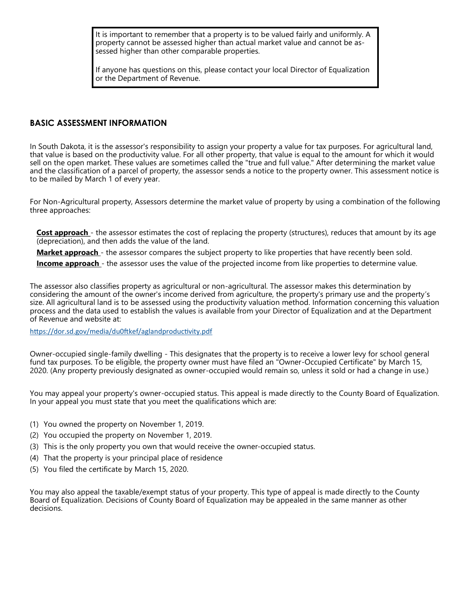It is important to remember that a property is to be valued fairly and uniformly. A property cannot be assessed higher than actual market value and cannot be assessed higher than other comparable properties.

If anyone has questions on this, please contact your local Director of Equalization or the Department of Revenue.

#### **BASIC ASSESSMENT INFORMATION**

In South Dakota, it is the assessor's responsibility to assign your property a value for tax purposes. For agricultural land, that value is based on the productivity value. For all other property, that value is equal to the amount for which it would sell on the open market. These values are sometimes called the "true and full value." After determining the market value and the classification of a parcel of property, the assessor sends a notice to the property owner. This assessment notice is to be mailed by March 1 of every year.

For Non-Agricultural property, Assessors determine the market value of property by using a combination of the following three approaches:

**Cost approach** - the assessor estimates the cost of replacing the property (structures), reduces that amount by its age (depreciation), and then adds the value of the land.

**Market approach** - the assessor compares the subject property to like properties that have recently been sold.

**Income approach** - the assessor uses the value of the projected income from like properties to determine value.

The assessor also classifies property as agricultural or non-agricultural. The assessor makes this determination by considering the amount of the owner's income derived from agriculture, the property's primary use and the property's size. All agricultural land is to be assessed using the productivity valuation method. Information concerning this valuation process and the data used to establish the values is available from your Director of Equalization and at the Department of Revenue and website at:

<https://dor.sd.gov/media/du0ftkef/aglandproductivity.pdf>

Owner-occupied single-family dwelling - This designates that the property is to receive a lower levy for school general fund tax purposes. To be eligible, the property owner must have filed an "Owner-Occupied Certificate" by March 15, 2020. (Any property previously designated as owner-occupied would remain so, unless it sold or had a change in use.)

You may appeal your property's owner-occupied status. This appeal is made directly to the County Board of Equalization. In your appeal you must state that you meet the qualifications which are:

- (1) You owned the property on November 1, 2019.
- (2) You occupied the property on November 1, 2019.
- (3) This is the only property you own that would receive the owner-occupied status.
- (4) That the property is your principal place of residence
- (5) You filed the certificate by March 15, 2020.

You may also appeal the taxable/exempt status of your property. This type of appeal is made directly to the County Board of Equalization. Decisions of County Board of Equalization may be appealed in the same manner as other decisions.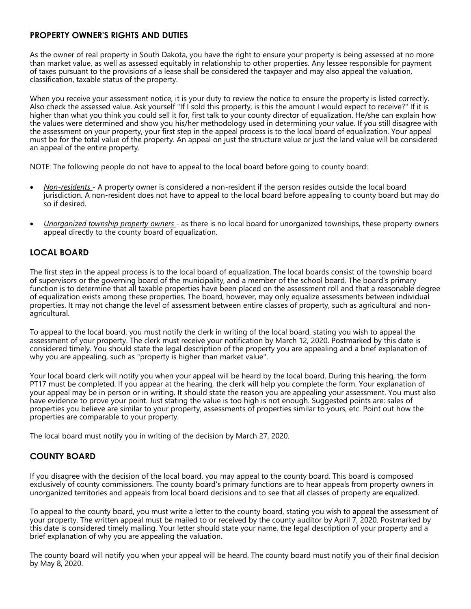# **PROPERTY OWNER'S RIGHTS AND DUTIES**

As the owner of real property in South Dakota, you have the right to ensure your property is being assessed at no more than market value, as well as assessed equitably in relationship to other properties. Any lessee responsible for payment of taxes pursuant to the provisions of a lease shall be considered the taxpayer and may also appeal the valuation, classification, taxable status of the property.

When you receive your assessment notice, it is your duty to review the notice to ensure the property is listed correctly. Also check the assessed value. Ask yourself "If I sold this property, is this the amount I would expect to receive?" If it is higher than what you think you could sell it for, first talk to your county director of equalization. He/she can explain how the values were determined and show you his/her methodology used in determining your value. If you still disagree with the assessment on your property, your first step in the appeal process is to the local board of equalization. Your appeal must be for the total value of the property. An appeal on just the structure value or just the land value will be considered an appeal of the entire property.

NOTE: The following people do not have to appeal to the local board before going to county board:

- *Non-residents*  A property owner is considered a non-resident if the person resides outside the local board jurisdiction. A non-resident does not have to appeal to the local board before appealing to county board but may do so if desired.
- *Unorganized township property owners*  as there is no local board for unorganized townships, these property owners appeal directly to the county board of equalization.

## **LOCAL BOARD**

The first step in the appeal process is to the local board of equalization. The local boards consist of the township board of supervisors or the governing board of the municipality, and a member of the school board. The board's primary function is to determine that all taxable properties have been placed on the assessment roll and that a reasonable degree of equalization exists among these properties. The board, however, may only equalize assessments between individual properties. It may not change the level of assessment between entire classes of property, such as agricultural and nonagricultural.

To appeal to the local board, you must notify the clerk in writing of the local board, stating you wish to appeal the assessment of your property. The clerk must receive your notification by March 12, 2020. Postmarked by this date is considered timely. You should state the legal description of the property you are appealing and a brief explanation of why you are appealing, such as "property is higher than market value".

Your local board clerk will notify you when your appeal will be heard by the local board. During this hearing, the form PT17 must be completed. If you appear at the hearing, the clerk will help you complete the form. Your explanation of your appeal may be in person or in writing. It should state the reason you are appealing your assessment. You must also have evidence to prove your point. Just stating the value is too high is not enough. Suggested points are: sales of properties you believe are similar to your property, assessments of properties similar to yours, etc. Point out how the properties are comparable to your property.

The local board must notify you in writing of the decision by March 27, 2020.

## **COUNTY BOARD**

If you disagree with the decision of the local board, you may appeal to the county board. This board is composed exclusively of county commissioners. The county board's primary functions are to hear appeals from property owners in unorganized territories and appeals from local board decisions and to see that all classes of property are equalized.

To appeal to the county board, you must write a letter to the county board, stating you wish to appeal the assessment of your property. The written appeal must be mailed to or received by the county auditor by April 7, 2020. Postmarked by this date is considered timely mailing. Your letter should state your name, the legal description of your property and a brief explanation of why you are appealing the valuation.

The county board will notify you when your appeal will be heard. The county board must notify you of their final decision by May 8, 2020.